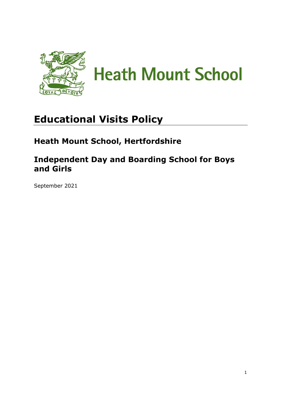

# **Educational Visits Policy**

# **Heath Mount School, Hertfordshire**

# **Independent Day and Boarding School for Boys and Girls**

September 2021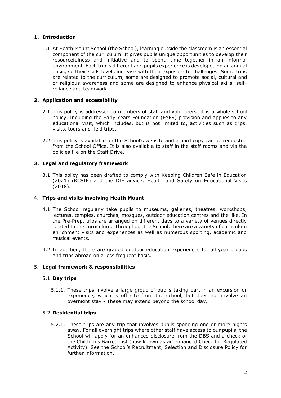# **1. Introduction**

1.1.At Heath Mount School (the School), learning outside the classroom is an essential component of the curriculum. It gives pupils unique opportunities to develop their resourcefulness and initiative and to spend time together in an informal environment. Each trip is different and pupils experience is developed on an annual basis, so their skills levels increase with their exposure to challenges. Some trips are related to the curriculum, some are designed to promote social, cultural and or religious awareness and some are designed to enhance physical skills, selfreliance and teamwork.

# **2. Application and accessibility**

- 2.1. This policy is addressed to members of staff and volunteers. It is a whole school policy. Including the Early Years Foundation (EYFS) provision and applies to any educational visit, which includes, but is not limited to, activities such as trips, visits, tours and field trips.
- 2.2. This policy is available on the School's website and a hard copy can be requested from the School Office. It is also available to staff in the staff rooms and via the policies file on the Staff Drive.

# **3. Legal and regulatory framework**

3.1. This policy has been drafted to comply with Keeping Children Safe in Education (2021) (KCSIE) and the DfE advice: Health and Safety on Educational Visits (2018).

## 4. **Trips and visits involving Heath Mount**

- 4.1. The School regularly take pupils to museums, galleries, theatres, workshops, lectures, temples, churches, mosques, outdoor education centres and the like. In the Pre-Prep, trips are arranged on different days to a variety of venues directly related to the curriculum. Throughout the School, there are a variety of curriculum enrichment visits and experiences as well as numerous sporting, academic and musical events.
- 4.2. In addition, there are graded outdoor education experiences for all year groups and trips abroad on a less frequent basis.

### 5. **Legal framework & responsibilities**

### 5.1. **Day trips**

5.1.1. These trips involve a large group of pupils taking part in an excursion or experience, which is off site from the school, but does not involve an overnight stay - These may extend beyond the school day.

### 5.2. **Residential trips**

5.2.1. These trips are any trip that involves pupils spending one or more nights away. For all overnight trips where other staff have access to our pupils, the School will apply for an enhanced disclosure from the DBS and a check of the Children's Barred List (now known as an enhanced Check for Regulated Activity). See the School's Recruitment, Selection and Disclosure Policy for further information.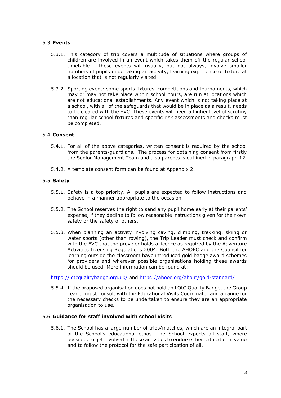# 5.3.**Events**

- 5.3.1. This category of trip covers a multitude of situations where groups of children are involved in an event which takes them off the regular school timetable. These events will usually, but not always, involve smaller numbers of pupils undertaking an activity, learning experience or fixture at a location that is not regularly visited.
- 5.3.2. Sporting event: some sports fixtures, competitions and tournaments, which may or may not take place within school hours, are run at locations which are not educational establishments. Any event which is not taking place at a school, with all of the safeguards that would be in place as a result, needs to be cleared with the EVC. These events will need a higher level of scrutiny than regular school fixtures and specific risk assessments and checks must be completed.

### 5.4. **Consent**

- 5.4.1. For all of the above categories, written consent is required by the school from the parents/guardians. The process for obtaining consent from firstly the Senior Management Team and also parents is outlined in paragraph 12.
- 5.4.2. A template consent form can be found at Appendix 2.

### 5.5. **Safety**

- 5.5.1. Safety is a top priority. All pupils are expected to follow instructions and behave in a manner appropriate to the occasion.
- 5.5.2. The School reserves the right to send any pupil home early at their parents' expense, if they decline to follow reasonable instructions given for their own safety or the safety of others.
- 5.5.3. When planning an activity involving caving, climbing, trekking, skiing or water sports (other than rowing), the Trip Leader must check and confirm with the EVC that the provider holds a licence as required by the Adventure Activities Licensing Regulations 2004. Both the AHOEC and the Council for learning outside the classroom have introduced gold badge award schemes for providers and wherever possible organisations holding these awards should be used. More information can be found at:

<https://lotcqualitybadge.org.uk/> and<https://ahoec.org/about/gold-standard/>

5.5.4. If the proposed organisation does not hold an LOtC Quality Badge, the Group Leader must consult with the Educational Visits Coordinator and arrange for the necessary checks to be undertaken to ensure they are an appropriate organisation to use.

# 5.6. **Guidance for staff involved with school visits**

5.6.1. The School has a large number of trips/matches, which are an integral part of the School's educational ethos. The School expects all staff, where possible, to get involved in these activities to endorse their educational value and to follow the protocol for the safe participation of all.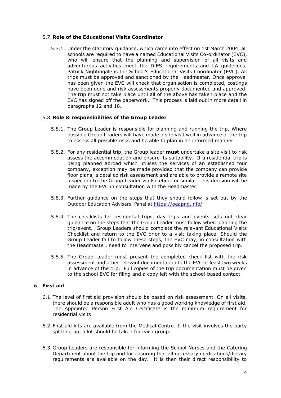# 5.7. **Role of the Educational Visits Coordinator**

5.7.1. Under the statutory guidance, which came into effect on 1st March 2004, all schools are required to have a named Educational Visits Co-ordinator (EVC), who will ensure that the planning and supervision of all visits and adventurous activities meet the DfES requirements and LA guidelines. Patrick Nightingale is the School's Educational Visits Coordinator (EVC). All trips must be approved and sanctioned by the Headmaster. Once approval has been given the EVC will check that organisation is completed, costings have been done and risk assessments properly documented and approved. The trip must not take place until all of the above has taken place and the EVC has signed off the paperwork. This process is laid out in more detail in paragraphs 12 and 18.

# 5.8. **Role & responsibilities of the Group Leader**

- 5.8.1. The Group Leader is responsible for planning and running the trip. Where possible Group Leaders will have made a site visit well in advance of the trip to assess all possible risks and be able to plan in an informed manner.
- 5.8.2. For any residential trip, the Group leader **must** undertake a site visit to risk assess the accommodation and ensure its suitability. If a residential trip is being planned abroad which utilises the services of an established tour company, exception may be made provided that the company can provide floor plans, a detailed risk assessment and are able to provide a remote site inspection to the Group Leader via Facetime or similar. This decision will be made by the EVC in consultation with the Headmaster.
- 5.8.3. Further guidance on the steps that they should follow is set out by the Outdoor Education Advisers' Panel at <https://oeapng.info/>
- 5.8.4. The checklists for residential trips, day trips and events sets out clear guidance on the steps that the Group Leader must follow when planning the trip/event. Group Leaders should complete the relevant Educational Visits Checklist and return to the EVC prior to a visit taking place. Should the Group Leader fail to follow these steps, the EVC may, in consultation with the Headmaster, need to intervene and possibly cancel the proposed trip.
- 5.8.5. The Group Leader must present the completed check list with the risk assessment and other relevant documentation to the EVC at least two weeks in advance of the trip. Full copies of the trip documentation must be given to the school EVC for filing and a copy left with the school-based contact.

# 6. **First aid**

- 6.1. The level of first aid provision should be based on risk assessment. On all visits, there should be a responsible adult who has a good working knowledge of first aid. The Appointed Person First Aid Certificate is the minimum requirement for residential visits.
- 6.2. First aid kits are available from the Medical Centre. If the visit involves the party splitting up, a kit should be taken for each group.
- 6.3. Group Leaders are responsible for informing the School Nurses and the Catering Department about the trip and for ensuring that all necessary medications/dietary requirements are available on the day. It is then their direct responsibility to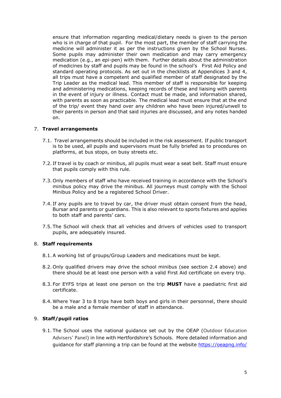ensure that information regarding medical/dietary needs is given to the person who is in charge of that pupil. For the most part, the member of staff carrying the medicine will administer it as per the instructions given by the School Nurses. Some pupils may administer their own medication and may carry emergency medication (e.g., an epi-pen) with them. Further details about the administration of medicines by staff and pupils may be found in the school's First Aid Policy and standard operating protocols. As set out in the checklists at Appendices 3 and 4, all trips must have a competent and qualified member of staff designated by the Trip Leader as the medical lead. This member of staff is responsible for keeping and administering medications, keeping records of these and liaising with parents in the event of injury or illness. Contact must be made, and information shared, with parents as soon as practicable. The medical lead must ensure that at the end of the trip/ event they hand over any children who have been injured/unwell to their parents in person and that said injuries are discussed, and any notes handed on.

# 7. **Travel arrangements**

- 7.1. Travel arrangements should be included in the risk assessment. If public transport is to be used, all pupils and supervisors must be fully briefed as to procedures on platforms, at bus stops, on busy streets etc.
- 7.2. If travel is by coach or minibus, all pupils must wear a seat belt. Staff must ensure that pupils comply with this rule.
- 7.3. Only members of staff who have received training in accordance with the School's minibus policy may drive the minibus. All journeys must comply with the School Minibus Policy and be a registered School Driver.
- 7.4. If any pupils are to travel by car, the driver must obtain consent from the head, Bursar and parents or guardians. This is also relevant to sports fixtures and applies to both staff and parents' cars.
- 7.5. The School will check that all vehicles and drivers of vehicles used to transport pupils, are adequately insured.

### 8. **Staff requirements**

- 8.1.A working list of groups/Group Leaders and medications must be kept.
- 8.2. Only qualified drivers may drive the school minibus (see section 2.4 above) and there should be at least one person with a valid First Aid certificate on every trip.
- 8.3. For EYFS trips at least one person on the trip **MUST** have a paediatric first aid certificate.
- 8.4. Where Year 3 to 8 trips have both boys and girls in their personnel, there should be a male and a female member of staff in attendance.

### 9. **Staff/pupil ratios**

9.1. The School uses the national guidance set out by the OEAP (Outdoor Education Advisers' Panel) in line with Hertfordshire's Schools. More detailed information and guidance for staff planning a trip can be found at the website<https://oeapng.info/>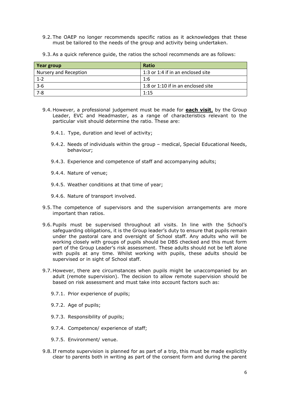- 9.2. The OAEP no longer recommends specific ratios as it acknowledges that these must be tailored to the needs of the group and activity being undertaken.
- 9.3.As a quick reference guide, the ratios the school recommends are as follows:

| Year group                   | <b>Ratio</b>                       |
|------------------------------|------------------------------------|
| <b>Nursery and Reception</b> | 1:3 or 1:4 if in an enclosed site  |
| $1 - 2$                      | 1:6                                |
| $3 - 6$                      | 1:8 or 1:10 if in an enclosed site |
| $7 - 8$                      | 1:15                               |

- 9.4. However, a professional judgement must be made for **each visit**, by the Group Leader, EVC and Headmaster, as a range of characteristics relevant to the particular visit should determine the ratio. These are:
	- 9.4.1. Type, duration and level of activity;
	- 9.4.2. Needs of individuals within the group medical, Special Educational Needs, behaviour;
	- 9.4.3. Experience and competence of staff and accompanying adults;
	- 9.4.4. Nature of venue;
	- 9.4.5. Weather conditions at that time of year;
	- 9.4.6. Nature of transport involved.
- 9.5. The competence of supervisors and the supervision arrangements are more important than ratios.
- 9.6. Pupils must be supervised throughout all visits. In line with the School's safeguarding obligations, it is the Group leader's duty to ensure that pupils remain under the pastoral care and oversight of School staff. Any adults who will be working closely with groups of pupils should be DBS checked and this must form part of the Group Leader's risk assessment. These adults should not be left alone with pupils at any time. Whilst working with pupils, these adults should be supervised or in sight of School staff.
- 9.7. However, there are circumstances when pupils might be unaccompanied by an adult (remote supervision). The decision to allow remote supervision should be based on risk assessment and must take into account factors such as:
	- 9.7.1. Prior experience of pupils;
	- 9.7.2. Age of pupils;
	- 9.7.3. Responsibility of pupils;
	- 9.7.4. Competence/ experience of staff;
	- 9.7.5. Environment/ venue.
- 9.8. If remote supervision is planned for as part of a trip, this must be made explicitly clear to parents both in writing as part of the consent form and during the parent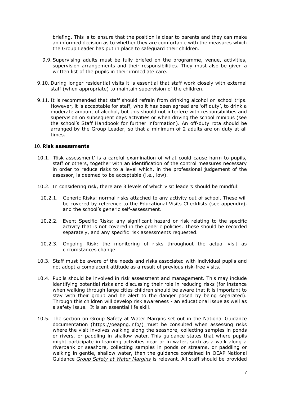briefing. This is to ensure that the position is clear to parents and they can make an informed decision as to whether they are comfortable with the measures which the Group Leader has put in place to safeguard their children.

- 9.9.Supervising adults must be fully briefed on the programme, venue, activities, supervision arrangements and their responsibilities. They must also be given a written list of the pupils in their immediate care.
- 9.10. During longer residential visits it is essential that staff work closely with external staff (when appropriate) to maintain supervision of the children.
- 9.11. It is recommended that staff should refrain from drinking alcohol on school trips. However, it is acceptable for staff, who it has been agreed are 'off duty', to drink a moderate amount of alcohol, but this should not interfere with responsibilities and supervision on subsequent days activities or when driving the school minibus (see the school's Staff Handbook for further information). An off-duty rota should be arranged by the Group Leader, so that a minimum of 2 adults are on duty at all times.

### 10. **Risk assessments**

- 10.1. 'Risk assessment' is a careful examination of what could cause harm to pupils, staff or others, together with an identification of the control measures necessary in order to reduce risks to a level which, in the professional judgement of the assessor, is deemed to be acceptable (i.e., low).
- 10.2. In considering risk, there are 3 levels of which visit leaders should be mindful:
	- 10.2.1. Generic Risks: normal risks attached to any activity out of school. These will be covered by reference to the Educational Visits Checklists (see appendix), and the school's generic self-assessment.
	- 10.2.2. Event Specific Risks: any significant hazard or risk relating to the specific activity that is not covered in the generic policies. These should be recorded separately, and any specific risk assessments requested.
	- 10.2.3. Ongoing Risk: the monitoring of risks throughout the actual visit as circumstances change.
- 10.3. Staff must be aware of the needs and risks associated with individual pupils and not adopt a complacent attitude as a result of previous risk-free visits.
- 10.4. Pupils should be involved in risk assessment and management. This may include identifying potential risks and discussing their role in reducing risks (for instance when walking through large cities children should be aware that it is important to stay with their group and be alert to the danger posed by being separated). Through this children will develop risk awareness - an educational issue as well as a safety issue. It is an essential life skill.
- 10.5. The section on Group Safety at Water Margins set out in the National Guidance documentation [\(https://oeapng.info/\)](https://oeapng.info/) must be consulted when assessing risks where the visit involves walking along the seashore, collecting samples in ponds or rivers, or paddling in shallow water. This guidance states that where pupils might participate in learning activities near or in water, such as a walk along a riverbank or seashore, collecting samples in ponds or streams, or paddling or walking in gentle, shallow water, then the guidance contained in OEAP National Guidance *Group Safety at Water Margins* is relevant. All staff should be provided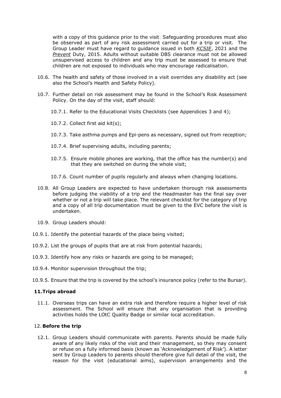with a copy of this guidance prior to the visit. Safeguarding procedures must also be observed as part of any risk assessment carried out for a trip or visit. The Group Leader must have regard to guidance issued in both *KCSIE*, 2021 and the *Prevent* Duty, 2015. Adults without suitable DBS clearance must not be allowed unsupervised access to children and any trip must be assessed to ensure that children are not exposed to individuals who may encourage radicalisation.

- 10.6. The health and safety of those involved in a visit overrides any disability act (see also the School's Health and Safety Policy).
- 10.7. Further detail on risk assessment may be found in the School's Risk Assessment Policy. On the day of the visit, staff should:
	- 10.7.1. Refer to the Educational Visits Checklists (see Appendices 3 and 4);
	- 10.7.2. Collect first aid kit(s);
	- 10.7.3. Take asthma pumps and Epi-pens as necessary, signed out from reception;
	- 10.7.4. Brief supervising adults, including parents;
	- 10.7.5. Ensure mobile phones are working, that the office has the number(s) and that they are switched on during the whole visit;
	- 10.7.6. Count number of pupils regularly and always when changing locations.
- 10.8. All Group Leaders are expected to have undertaken thorough risk assessments before judging the viability of a trip and the Headmaster has the final say over whether or not a trip will take place. The relevant checklist for the category of trip and a copy of all trip documentation must be given to the EVC before the visit is undertaken.
- 10.9. Group Leaders should:
- 10.9.1. Identify the potential hazards of the place being visited;
- 10.9.2. List the groups of pupils that are at risk from potential hazards;
- 10.9.3. Identify how any risks or hazards are going to be managed;
- 10.9.4. Monitor supervision throughout the trip;
- 10.9.5. Ensure that the trip is covered by the school's insurance policy (refer to the Bursar).

# **11.Trips abroad**

11.1. Overseas trips can have an extra risk and therefore require a higher level of risk assessment. The School will ensure that any organisation that is providing activities holds the LOtC Quality Badge or similar local accreditation.

### 12. **Before the trip**

12.1. Group Leaders should communicate with parents. Parents should be made fully aware of any likely risks of the visit and their management, so they may consent or refuse on a fully informed basis (known as 'Acknowledgement of Risk'). A letter sent by Group Leaders to parents should therefore give full detail of the visit, the reason for the visit (educational aims), supervision arrangements and the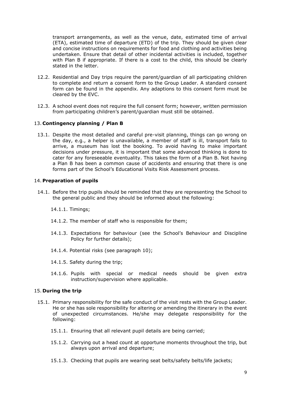transport arrangements, as well as the venue, date, estimated time of arrival (ETA), estimated time of departure (ETD) of the trip. They should be given clear and concise instructions on requirements for food and clothing and activities being undertaken. Ensure that detail of other incidental activities is included, together with Plan B if appropriate. If there is a cost to the child, this should be clearly stated in the letter.

- 12.2. Residential and Day trips require the parent/guardian of all participating children to complete and return a consent form to the Group Leader. A standard consent form can be found in the appendix. Any adaptions to this consent form must be cleared by the EVC.
- 12.3. A school event does not require the full consent form; however, written permission from participating children's parent/guardian must still be obtained.

# 13. **Contingency planning / Plan B**

13.1. Despite the most detailed and careful pre-visit planning, things can go wrong on the day, e.g., a helper is unavailable, a member of staff is ill, transport fails to arrive, a museum has lost the booking. To avoid having to make important decisions under pressure, it is important that some advanced thinking is done to cater for any foreseeable eventuality. This takes the form of a Plan B. Not having a Plan B has been a common cause of accidents and ensuring that there is one forms part of the School's Educational Visits Risk Assessment process.

### 14. **Preparation of pupils**

- 14.1. Before the trip pupils should be reminded that they are representing the School to the general public and they should be informed about the following:
	- 14.1.1. Timings;
	- 14.1.2. The member of staff who is responsible for them;
	- 14.1.3. Expectations for behaviour (see the School's Behaviour and Discipline Policy for further details);
	- 14.1.4. Potential risks (see paragraph 10);
	- 14.1.5. Safety during the trip;
	- 14.1.6. Pupils with special or medical needs should be given extra instruction/supervision where applicable.

### 15. **During the trip**

- 15.1. Primary responsibility for the safe conduct of the visit rests with the Group Leader. He or she has sole responsibility for altering or amending the itinerary in the event of unexpected circumstances. He/she may delegate responsibility for the following:
	- 15.1.1. Ensuring that all relevant pupil details are being carried;
	- 15.1.2. Carrying out a head count at opportune moments throughout the trip, but always upon arrival and departure;
	- 15.1.3. Checking that pupils are wearing seat belts/safety belts/life jackets;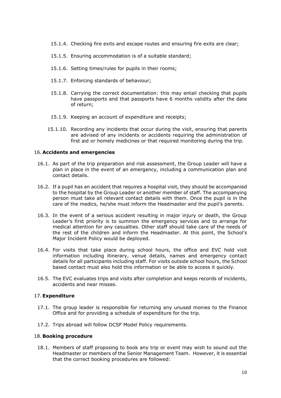- 15.1.4. Checking fire exits and escape routes and ensuring fire exits are clear;
- 15.1.5. Ensuring accommodation is of a suitable standard;
- 15.1.6. Setting times/rules for pupils in their rooms;
- 15.1.7. Enforcing standards of behaviour;
- 15.1.8. Carrying the correct documentation: this may entail checking that pupils have passports and that passports have 6 months validity after the date of return;
- 15.1.9. Keeping an account of expenditure and receipts;
- 15.1.10. Recording any incidents that occur during the visit, ensuring that parents are advised of any incidents or accidents requiring the administration of first aid or homely medicines or that required monitoring during the trip.

# 16. **Accidents and emergencies**

- 16.1. As part of the trip preparation and risk assessment, the Group Leader will have a plan in place in the event of an emergency, including a communication plan and contact details.
- 16.2. If a pupil has an accident that requires a hospital visit, they should be accompanied to the hospital by the Group Leader or another member of staff. The accompanying person must take all relevant contact details with them. Once the pupil is in the care of the medics, he/she must inform the Headmaster and the pupil's parents.
- 16.3. In the event of a serious accident resulting in major injury or death, the Group Leader's first priority is to summon the emergency services and to arrange for medical attention for any casualties. Other staff should take care of the needs of the rest of the children and inform the Headmaster. At this point, the School's Major Incident Policy would be deployed.
- 16.4. For visits that take place during school hours, the office and EVC hold visit information including itinerary, venue details, names and emergency contact details for all participants including staff. For visits outside school hours, the School based contact must also hold this information or be able to access it quickly.
- 16.5. The EVC evaluates trips and visits after completion and keeps records of incidents, accidents and near misses.

# 17.**Expenditure**

- 17.1. The group leader is responsible for returning any unused monies to the Finance Office and for providing a schedule of expenditure for the trip.
- 17.2. Trips abroad will follow DCSF Model Policy requirements.

### 18. **Booking procedure**

18.1. Members of staff proposing to book any trip or event may wish to sound out the Headmaster or members of the Senior Management Team. However, it is essential that the correct booking procedures are followed: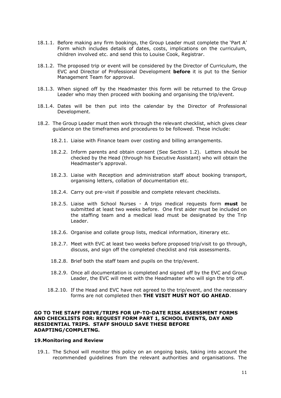- 18.1.1. Before making any firm bookings, the Group Leader must complete the 'Part A' Form which includes details of dates, costs, implications on the curriculum, children involved etc. and send this to Louise Cook, Registrar.
- 18.1.2. The proposed trip or event will be considered by the Director of Curriculum, the EVC and Director of Professional Development **before** it is put to the Senior Management Team for approval.
- 18.1.3. When signed off by the Headmaster this form will be returned to the Group Leader who may then proceed with booking and organising the trip/event.
- 18.1.4. Dates will be then put into the calendar by the Director of Professional Development.
- 18.2. The Group Leader must then work through the relevant checklist, which gives clear guidance on the timeframes and procedures to be followed. These include:
	- 18.2.1. Liaise with Finance team over costing and billing arrangements.
	- 18.2.2. Inform parents and obtain consent (See Section 1.2). Letters should be checked by the Head (through his Executive Assistant) who will obtain the Headmaster's approval.
	- 18.2.3. Liaise with Reception and administration staff about booking transport, organising letters, collation of documentation etc.
	- 18.2.4. Carry out pre-visit if possible and complete relevant checklists.
	- 18.2.5. Liaise with School Nurses A trips medical requests form **must** be submitted at least two weeks before. One first aider must be included on the staffing team and a medical lead must be designated by the Trip Leader.
	- 18.2.6. Organise and collate group lists, medical information, itinerary etc.
	- 18.2.7. Meet with EVC at least two weeks before proposed trip/visit to go through, discuss, and sign off the completed checklist and risk assessments.
	- 18.2.8. Brief both the staff team and pupils on the trip/event.
	- 18.2.9. Once all documentation is completed and signed off by the EVC and Group Leader, the EVC will meet with the Headmaster who will sign the trip off.
	- 18.2.10. If the Head and EVC have not agreed to the trip/event, and the necessary forms are not completed then **THE VISIT MUST NOT GO AHEAD**.

### **GO TO THE STAFF DRIVE/TRIPS FOR UP-TO-DATE RISK ASSESSMENT FORMS AND CHECKLISTS FOR: REQUEST FORM PART 1, SCHOOL EVENTS, DAY AND RESIDENTIAL TRIPS. STAFF SHOULD SAVE THESE BEFORE ADAPTING/COMPLETNG.**

### **19.Monitoring and Review**

19.1. The School will monitor this policy on an ongoing basis, taking into account the recommended guidelines from the relevant authorities and organisations. The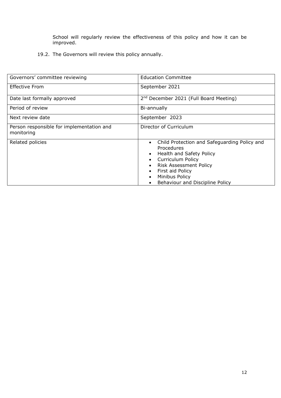School will regularly review the effectiveness of this policy and how it can be improved.

19.2. The Governors will review this policy annually.

| Governors' committee reviewing                          | <b>Education Committee</b>                                                                                                                                                                                                   |  |
|---------------------------------------------------------|------------------------------------------------------------------------------------------------------------------------------------------------------------------------------------------------------------------------------|--|
| <b>Effective From</b>                                   | September 2021                                                                                                                                                                                                               |  |
| Date last formally approved                             | 2 <sup>nd</sup> December 2021 (Full Board Meeting)                                                                                                                                                                           |  |
| Period of review                                        | Bi-annually                                                                                                                                                                                                                  |  |
| Next review date                                        | September 2023                                                                                                                                                                                                               |  |
| Person responsible for implementation and<br>monitoring | Director of Curriculum                                                                                                                                                                                                       |  |
| Related policies                                        | Child Protection and Safeguarding Policy and<br>Procedures<br>Health and Safety Policy<br><b>Curriculum Policy</b><br><b>Risk Assessment Policy</b><br>First aid Policy<br>Minibus Policy<br>Behaviour and Discipline Policy |  |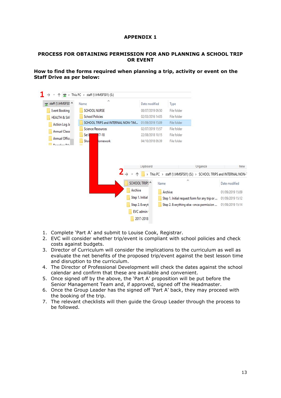# **APPENDIX 1**

### **PROCESS FOR OBTAINING PERMISSION FOR AND PLANNING A SCHOOL TRIP OR EVENT**

# **How to find the forms required when planning a trip, activity or event on the Staff Drive as per below:**

|                         | This PC > staff (\\HMSFS01) (S:)  |                        |                                                         |                                                                 |
|-------------------------|-----------------------------------|------------------------|---------------------------------------------------------|-----------------------------------------------------------------|
| staff (\\HMSFS0' ^      | Λ<br>Name                         | Date modified          | Type                                                    |                                                                 |
| <b>Event Booking</b>    | <b>SCHOOL NURSE</b>               | 08/07/2019 09:50       | File folder                                             |                                                                 |
| <b>HEALTH &amp; SAF</b> | <b>School Policies</b>            | 02/03/2016 14:05       | File folder                                             |                                                                 |
| Action Log Ja           | SCHOOL TRIPS and INTERNAL NON-TIM | 01/09/2019 15:09       | File folder                                             |                                                                 |
| Annual Classi           | <b>Science Resources</b>          | 02/07/2019 15:57       | File folder                                             |                                                                 |
| Annual Office           | $17 - 18$<br>Set I                | 22/08/2018 10:15       | File folder                                             |                                                                 |
|                         | Show<br>omework                   | 04/10/2018 09:39       | File folder                                             |                                                                 |
|                         |                                   |                        |                                                         |                                                                 |
|                         |                                   | Clipboard              | Organize                                                |                                                                 |
|                         |                                   | This PC $\rightarrow$  | staff (\\HMSFS01) (S:) > SCHOOL TRIPS and INTERNAL NON- |                                                                 |
|                         |                                   | SCHOOL TRIPS ^<br>Name | Α                                                       | Date modified                                                   |
|                         | Archive                           |                        | Archive                                                 |                                                                 |
|                         |                                   | Step 1. Initial        | Step 1. Initial request form for any trip or            |                                                                 |
|                         |                                   | Step 2. Everyt         | Step 2. Everything else -once permission                |                                                                 |
|                         |                                   | EVC admin .            |                                                         | New<br>01/09/2019 15:09<br>01/09/2019 15:12<br>01/09/2019 15:14 |

- 1. Complete 'Part A' and submit to Louise Cook, Registrar.
- 2. EVC will consider whether trip/event is compliant with school policies and check costs against budgets.
- 3. Director of Curriculum will consider the implications to the curriculum as well as evaluate the net benefits of the proposed trip/event against the best lesson time and disruption to the curriculum.
- 4. The Director of Professional Development will check the dates against the school calendar and confirm that these are available and convenient.
- 5. Once signed off by the above, the 'Part A' proposition will be put before the Senior Management Team and, if approved, signed off the Headmaster.
- 6. Once the Group Leader has the signed off 'Part A' back, they may proceed with the booking of the trip.
- 7. The relevant checklists will then guide the Group Leader through the process to be followed.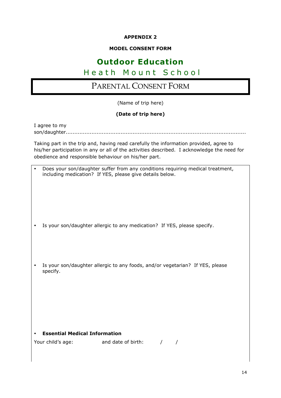# **APPENDIX 2**

# **MODEL CONSENT FORM**

# **Outdoor Education**

# Heath Mount School

# PARENTAL CONSENT FORM

(Name of trip here)

# **(Date of trip here)**

| I agree to my |  |
|---------------|--|
|               |  |

Taking part in the trip and, having read carefully the information provided, agree to his/her participation in any or all of the activities described. I acknowledge the need for obedience and responsible behaviour on his/her part.

| $\bullet$                            | Does your son/daughter suffer from any conditions requiring medical treatment,<br>including medication? If YES, please give details below. |
|--------------------------------------|--------------------------------------------------------------------------------------------------------------------------------------------|
|                                      | Is your son/daughter allergic to any medication? If YES, please specify.                                                                   |
| specify.                             | Is your son/daughter allergic to any foods, and/or vegetarian? If YES, please                                                              |
|                                      |                                                                                                                                            |
| <b>Essential Medical Information</b> | Your child's age: and date of birth:<br>$\sqrt{2}$                                                                                         |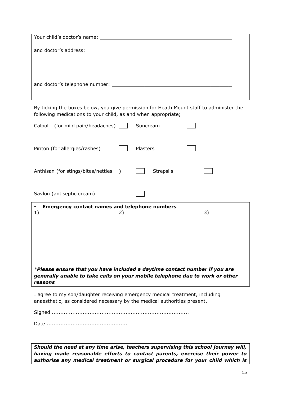| and doctor's address: |  |
|-----------------------|--|
|                       |  |
|                       |  |
|                       |  |
|                       |  |

By ticking the boxes below, you give permission for Heath Mount staff to administer the following medications to your child, as and when appropriate;

| (for mild pain/headaches)<br>Calpol                                                                                                                                  |           | Suncream         |    |
|----------------------------------------------------------------------------------------------------------------------------------------------------------------------|-----------|------------------|----|
| Piriton (for allergies/rashes)                                                                                                                                       |           | Plasters         |    |
| Anthisan (for stings/bites/nettles                                                                                                                                   | $\lambda$ | <b>Strepsils</b> |    |
| Savlon (antiseptic cream)                                                                                                                                            |           |                  |    |
| <b>Emergency contact names and telephone numbers</b><br>1)                                                                                                           | 2)        |                  | 3) |
|                                                                                                                                                                      |           |                  |    |
|                                                                                                                                                                      |           |                  |    |
|                                                                                                                                                                      |           |                  |    |
| *Please ensure that you have included a daytime contact number if you are<br>generally unable to take calls on your mobile telephone due to work or other<br>reasons |           |                  |    |

anaesthetic, as considered necessary by the medical authorities present.

Signed ................................................................................

Date ...............................................

*Should the need at any time arise, teachers supervising this school journey will, having made reasonable efforts to contact parents, exercise their power to authorise any medical treatment or surgical procedure for your child which is*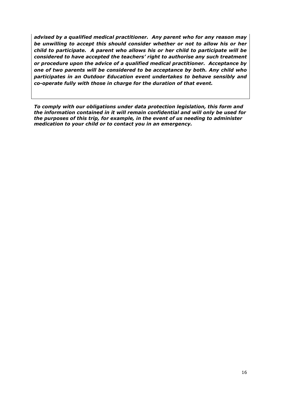*advised by a qualified medical practitioner. Any parent who for any reason may be unwilling to accept this should consider whether or not to allow his or her child to participate. A parent who allows his or her child to participate will be considered to have accepted the teachers' right to authorise any such treatment or procedure upon the advice of a qualified medical practitioner. Acceptance by one of two parents will be considered to be acceptance by both. Any child who participates in an Outdoor Education event undertakes to behave sensibly and co-operate fully with those in charge for the duration of that event.* 

*To comply with our obligations under data protection legislation, this form and the information contained in it will remain confidential and will only be used for the purposes of this trip, for example, in the event of us needing to administer medication to your child or to contact you in an emergency.*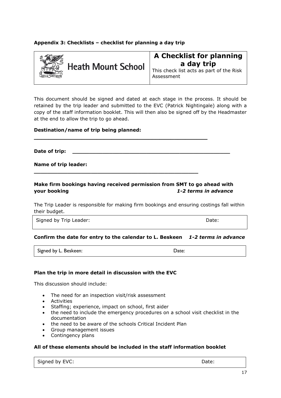# **Appendix 3: Checklists – checklist for planning a day trip**



This check list acts as part of the Risk Assessment

This document should be signed and dated at each stage in the process. It should be retained by the trip leader and submitted to the EVC (Patrick Nightingale) along with a copy of the staff information booklet. This will then also be signed off by the Headmaster at the end to allow the trip to go ahead.

# **Destination/name of trip being planned:**

**Date of trip: \_\_\_\_\_\_\_\_\_\_\_\_\_\_\_\_\_\_\_\_\_\_\_\_\_\_\_\_\_\_\_\_\_\_\_\_\_\_\_\_\_\_\_\_\_\_\_**

**Name of trip leader:** 

# **Make firm bookings having received permission from SMT to go ahead with your booking** *1-2 terms in advance*

**\_\_\_\_\_\_\_\_\_\_\_\_\_\_\_\_\_\_\_\_\_\_\_\_\_\_\_\_\_\_\_\_\_\_\_\_\_\_\_\_\_\_\_\_\_\_\_** 

**\_\_\_\_\_\_\_\_\_\_\_\_\_\_\_\_\_\_\_\_\_\_\_\_\_\_\_\_\_\_\_\_\_\_\_\_\_\_\_\_\_\_\_\_\_\_\_\_\_**

The Trip Leader is responsible for making firm bookings and ensuring costings fall within their budget.

Signed by Trip Leader:  $\blacksquare$ 

# **Confirm the date for entry to the calendar to L. Beskeen** *1-2 terms in advance*

Signed by L. Beskeen: Date: Date: Date:

# **Plan the trip in more detail in discussion with the EVC**

This discussion should include:

- The need for an inspection visit/risk assessment
- Activities
- Staffing; experience, impact on school, first aider
- the need to include the emergency procedures on a school visit checklist in the documentation
- the need to be aware of the schools Critical Incident Plan
- Group management issues
- Contingency plans

### **All of these elements should be included in the staff information booklet**

Signed by EVC: Signed by EVC: Signed by EVC: Signed by EVC: Signed by EVC: Signed by EVC: Signed and Date: Date: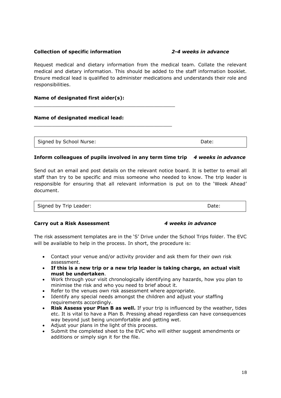# **Collection of specific information** *2-4 weeks in advance*

Request medical and dietary information from the medical team. Collate the relevant medical and dietary information. This should be added to the staff information booklet. Ensure medical lead is qualified to administer medications and understands their role and responsibilities.

# **Name of designated first aider(s):**

\_\_\_\_\_\_\_\_\_\_\_\_\_\_\_\_\_\_\_\_\_\_\_\_\_\_\_\_\_\_\_\_\_\_\_\_\_\_\_\_\_\_\_\_\_\_\_

\_\_\_\_\_\_\_\_\_\_\_\_\_\_\_\_\_\_\_\_\_\_\_\_\_\_\_\_\_\_\_\_\_\_\_\_\_\_\_\_\_\_\_\_\_\_

# **Name of designated medical lead:**

Signed by School Nurse:  $\Box$  Date: Date:

# **Inform colleagues of pupils involved in any term time trip** *4 weeks in advance*

Send out an email and post details on the relevant notice board. It is better to email all staff than try to be specific and miss someone who needed to know. The trip leader is responsible for ensuring that all relevant information is put on to the 'Week Ahead' document.

| Signed by Trip Leader: | Date: |
|------------------------|-------|

### **Carry out a Risk Assessment** *4 weeks in advance*

The risk assessment templates are in the 'S' Drive under the School Trips folder. The EVC will be available to help in the process. In short, the procedure is:

- Contact your venue and/or activity provider and ask them for their own risk assessment.
- **If this is a new trip or a new trip leader is taking charge, an actual visit must be undertaken**.
- Work through your visit chronologically identifying any hazards, how you plan to minimise the risk and who you need to brief about it.
- Refer to the venues own risk assessment where appropriate.
- Identify any special needs amongst the children and adjust your staffing requirements accordingly.
- **Risk Assess your Plan B as well.** If your trip is influenced by the weather, tides etc. It is vital to have a Plan B. Pressing ahead regardless can have consequences way beyond just being uncomfortable and getting wet.
- Adjust your plans in the light of this process.
- Submit the completed sheet to the EVC who will either suggest amendments or additions or simply sign it for the file.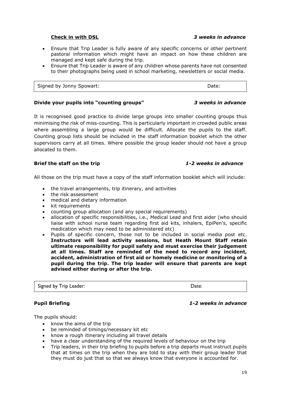### **Check in with DSL** *3 weeks in advance*

- Ensure that Trip Leader is fully aware of any specific concerns or other pertinent pastoral information which might have an impact on how these children are managed and kept safe during the trip.
- Ensure that Trip Leader is aware of any children whose parents have not consented to their photographs being used in school marketing, newsletters or social media.

Signed by Jonny Spowart: The Contract of the Contract of the Date:

# **Divide your pupils into "counting groups"** *3 weeks in advance*

It is recognised good practice to divide large groups into smaller counting groups thus minimising the risk of miss-counting. This is particularly important in crowded public areas where assembling a large group would be difficult. Allocate the pupils to the staff. Counting group lists should be included in the staff information booklet which the other supervisors carry at all times. Where possible the group leader should not have a group allocated to them.

# **Brief the staff on the trip** *1-2 weeks in advance*

All those on the trip must have a copy of the staff information booklet which will include:

- the travel arrangements, trip itinerary, and activities
- the risk assessment
- medical and dietary information
- kit requirements
- counting group allocation (and any special requirements)
- allocation of specific responsibilities, i.e., Medical Lead and first aider (who should liaise with school nurse team regarding first aid kits, inhalers, EpiPen's, specific medication which may need to be administered etc)
- Pupils of specific concern, those not to be included in social media post etc. **Instructors will lead activity sessions, but Heath Mount Staff retain ultimate responsibility for pupil safety and must exercise their judgement at all times. Staff are reminded of the need to record any incident, accident, administration of first aid or homely medicine or monitoring of a pupil during the trip. The trip leader will ensure that parents are kept advised either during or after the trip.**

Signed by Trip Leader: Date: Date: Date: Date: Date: Date: Date: Date: Date: Date: Date: Date: Date: Date: Date: Date: Date: Date: Date: Date: Date: Date: Date: Date: Date: Date: Date: Date: Date: Date: Date: Date: Date: D

# **Pupil Briefing** *1-2 weeks in advance*

The pupils should:

- know the aims of the trip
- be reminded of timings/necessary kit etc
- know a rough itinerary including all travel details
- have a clear understanding of the required levels of behaviour on the trip
- Trip leaders, in their trip briefing to pupils before a trip departs must instruct pupils that at times on the trip when they are told to stay with their group leader that they must do just that so that we always know that everyone is accounted for.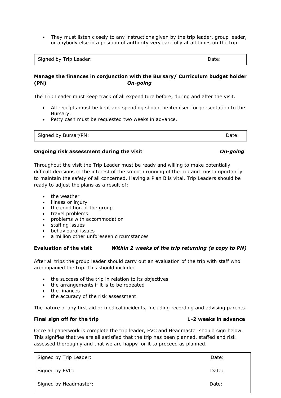• They must listen closely to any instructions given by the trip leader, group leader, or anybody else in a position of authority very carefully at all times on the trip.

Signed by Trip Leader:  $\Box$  Date:

# **Manage the finances in conjunction with the Bursary/ Curriculum budget holder (PN)** *On-going*

The Trip Leader must keep track of all expenditure before, during and after the visit.

- All receipts must be kept and spending should be itemised for presentation to the Bursary.
- Petty cash must be requested two weeks in advance.

| Date: |
|-------|
|       |

# **Ongoing risk assessment during the visit** *On-going*

Throughout the visit the Trip Leader must be ready and willing to make potentially difficult decisions in the interest of the smooth running of the trip and most importantly to maintain the safety of all concerned. Having a Plan B is vital. Trip Leaders should be ready to adjust the plans as a result of:

- the weather
- illness or injury
- the condition of the group
- travel problems
- problems with accommodation
- staffing issues
- behavioural issues
- a million other unforeseen circumstances

# **Evaluation of the visit** *Within 2 weeks of the trip returning (a copy to PN)*

After all trips the group leader should carry out an evaluation of the trip with staff who accompanied the trip. This should include:

- the success of the trip in relation to its objectives
- the arrangements if it is to be repeated
- the finances
- the accuracy of the risk assessment

The nature of any first aid or medical incidents, including recording and advising parents.

# **Final sign off for the trip 1-2 weeks in advance**

Once all paperwork is complete the trip leader, EVC and Headmaster should sign below. This signifies that we are all satisfied that the trip has been planned, staffed and risk assessed thoroughly and that we are happy for it to proceed as planned.

| Signed by Trip Leader: | Date: |
|------------------------|-------|
| Signed by EVC:         | Date: |
| Signed by Headmaster:  | Date: |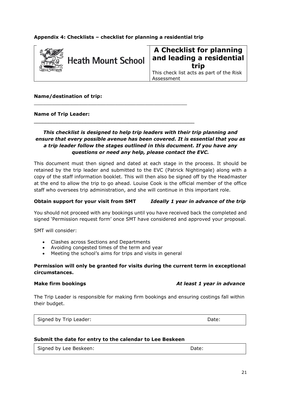# **Appendix 4: Checklists – checklist for planning a residential trip**

\_\_\_\_\_\_\_\_\_\_\_\_\_\_\_\_\_\_\_\_\_\_\_\_\_\_\_\_\_\_\_\_\_\_\_\_\_\_\_\_\_\_\_\_\_\_\_\_\_\_\_

\_\_\_\_\_\_\_\_\_\_\_\_\_\_\_\_\_\_\_\_\_\_\_\_\_\_\_\_\_\_\_\_\_\_\_\_\_\_\_\_\_\_\_\_\_\_\_\_\_\_\_\_\_\_\_\_



# **A Checklist for planning and leading a residential trip**

This check list acts as part of the Risk Assessment

## **Name/destination of trip:**

### **Name of Trip Leader:**

# *This checklist is designed to help trip leaders with their trip planning and ensure that every possible avenue has been covered. It is essential that you as a trip leader follow the stages outlined in this document. If you have any questions or need any help, please contact the EVC.*

This document must then signed and dated at each stage in the process. It should be retained by the trip leader and submitted to the EVC (Patrick Nightingale) along with a copy of the staff information booklet. This will then also be signed off by the Headmaster at the end to allow the trip to go ahead. Louise Cook is the official member of the office staff who oversees trip administration, and she will continue in this important role.

## **Obtain support for your visit from SMT** *Ideally 1 year in advance of the trip*

You should not proceed with any bookings until you have received back the completed and signed 'Permission request form' once SMT have considered and approved your proposal.

SMT will consider:

- Clashes across Sections and Departments
- Avoiding congested times of the term and year
- Meeting the school's aims for trips and visits in general

# **Permission will only be granted for visits during the current term in exceptional circumstances.**

### **Make firm bookings** *At least 1 year in advance*

The Trip Leader is responsible for making firm bookings and ensuring costings fall within their budget.

Signed by Trip Leader:  $\Box$  Date: Date: Date:

### **Submit the date for entry to the calendar to Lee Beskeen**

Signed by Lee Beskeen: Notified by Lee Beskeen: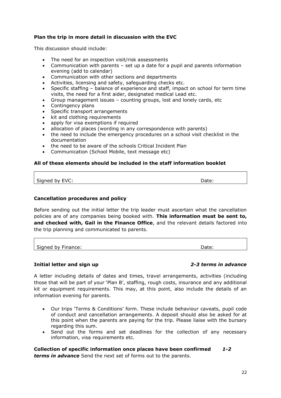# **Plan the trip in more detail in discussion with the EVC**

This discussion should include:

- The need for an inspection visit/risk assessments
- Communication with parents set up a date for a pupil and parents information evening (add to calendar)
- Communication with other sections and departments
- Activities, licensing and safety, safeguarding checks etc.
- Specific staffing balance of experience and staff, impact on school for term time visits, the need for a first aider, designated medical Lead etc.
- Group management issues counting groups, lost and lonely cards, etc
- Contingency plans
- Specific transport arrangements
- kit and clothing requirements
- apply for visa exemptions if required
- allocation of places (wording in any correspondence with parents)
- the need to include the emergency procedures on a school visit checklist in the documentation
- the need to be aware of the schools Critical Incident Plan
- Communication (School Mobile, text message etc)

# **All of these elements should be included in the staff information booklet**

Signed by EVC: Date: Date: Date: Date: Date: Date: Date: Date: Date: Date: Date: Date: Date: Date: Date: Date:  $\Box$ 

# **Cancellation procedures and policy**

Before sending out the initial letter the trip leader must ascertain what the cancellation policies are of any companies being booked with. **This information must be sent to, and checked with, Gail in the Finance Office**, and the relevant details factored into the trip planning and communicated to parents.

Signed by Finance:  $\qquad \qquad$  Date: Date:

### **Initial letter and sign up** *2-3 terms in advance*

A letter including details of dates and times, travel arrangements, activities (including those that will be part of your 'Plan B', staffing, rough costs, insurance and any additional kit or equipment requirements. This may, at this point, also include the details of an information evening for parents.

- Our trips 'Terms & Conditions' form. These include behaviour caveats, pupil code of conduct and cancellation arrangements. A deposit should also be asked for at this point when the parents are paying for the trip. Please liaise with the bursary regarding this sum.
- Send out the forms and set deadlines for the collection of any necessary information, visa requirements etc.

# **Collection of specific information once places have been confirmed** *1-2*

*terms in advance* Send the next set of forms out to the parents.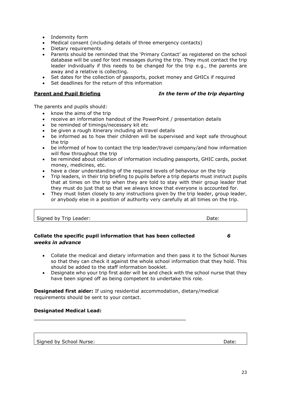- Indemnity form
- Medical consent (including details of three emergency contacts)
- Dietary requirements
- Parents should be reminded that the 'Primary Contact' as registered on the school database will be used for text messages during the trip. They must contact the trip leader individually if this needs to be changed for the trip e.g., the parents are away and a relative is collecting.
- Set dates for the collection of passports, pocket money and GHICs if required
- Set deadlines for the return of this information

# **Parent and Pupil Briefing** *In the term of the trip departing*

The parents and pupils should:

- know the aims of the trip
- receive an information handout of the PowerPoint / presentation details
- be reminded of timings/necessary kit etc
- be given a rough itinerary including all travel details
- be informed as to how their children will be supervised and kept safe throughout the trip
- be informed of how to contact the trip leader/travel company/and how information will flow throughout the trip
- be reminded about collation of information including passports, GHIC cards, pocket money, medicines, etc.
- have a clear understanding of the required levels of behaviour on the trip
- Trip leaders, in their trip briefing to pupils before a trip departs must instruct pupils that at times on the trip when they are told to stay with their group leader that they must do just that so that we always know that everyone is accounted for.
- They must listen closely to any instructions given by the trip leader, group leader, or anybody else in a position of authority very carefully at all times on the trip.

| Signed by Trip Leader: | Date: |
|------------------------|-------|
|                        |       |

# **Collate the specific pupil information that has been collected** *6 weeks in advance*

- Collate the medical and dietary information and then pass it to the School Nurses so that they can check it against the whole school information that they hold. This should be added to the staff information booklet.
- Designate who your trip first aider will be and check with the school nurse that they have been signed off as being competent to undertake this role.

**Designated first aider:** If using residential accommodation, dietary/medical requirements should be sent to your contact.

 $\_$  . The contribution of the contribution of  $\mathcal{L}_\mathcal{A}$ 

# **Designated Medical Lead:**

Signed by School Nurse:  $\Box$  Date: Date: Date: Date: Date: Date: Date: Date: Date: Date: Date: Date: Date: Date:  $\Box$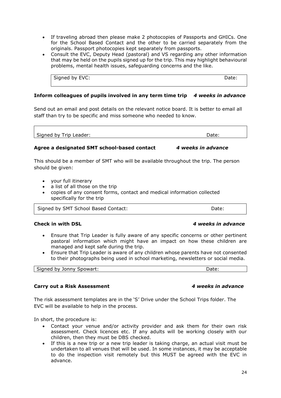- If traveling abroad then please make 2 photocopies of Passports and GHICs. One for the School Based Contact and the other to be carried separately from the originals. Passport photocopies kept separately from passports.
- Consult the EVC, Deputy Head (pastoral) and VS regarding any other information that may be held on the pupils signed up for the trip. This may highlight behavioural problems, mental health issues, safeguarding concerns and the like.

Signed by EVC: Date: Date: Date: Date: Date: Date: Date: Date: Date: Date: Date: Date: Date: Date: Date: Date: Date: Date: Date: Date: Date: Date: Date: Date: Date: Date: Date: Date: Date: Date: Date: Date: Date: Date: Dat

**Inform colleagues of pupils involved in any term time trip** *4 weeks in advance*

Send out an email and post details on the relevant notice board. It is better to email all staff than try to be specific and miss someone who needed to know.

Signed by Trip Leader:  $\Box$  Date:  $\Box$  Date:  $\Box$ 

# **Agree a designated SMT school-based contact** *4 weeks in advance*

This should be a member of SMT who will be available throughout the trip. The person should be given:

- your full itinerary
- a list of all those on the trip
- copies of any consent forms, contact and medical information collected specifically for the trip

Date:

Signed by SMT School Based Contact: Date: Date: Date:

- Ensure that Trip Leader is fully aware of any specific concerns or other pertinent pastoral information which might have an impact on how these children are managed and kept safe during the trip.
- Ensure that Trip Leader is aware of any children whose parents have not consented to their photographs being used in school marketing, newsletters or social media.

Signed by Jonny Spowart: New York 1988 and the Signed Date: Date: Date: Date: Date: Date: Date: Date: Date: Date:  $\Box$ 

### **Carry out a Risk Assessment** *4 weeks in advance*

The risk assessment templates are in the 'S' Drive under the School Trips folder. The EVC will be available to help in the process.

In short, the procedure is:

- Contact your venue and/or activity provider and ask them for their own risk assessment. Check licences etc. If any adults will be working closely with our children, then they must be DBS checked.
- If this is a new trip or a new trip leader is taking charge, an actual visit must be undertaken to all venues that will be used. In some instances, it may be acceptable to do the inspection visit remotely but this MUST be agreed with the EVC in advance.

### **Check in with DSL** *4 weeks in advance*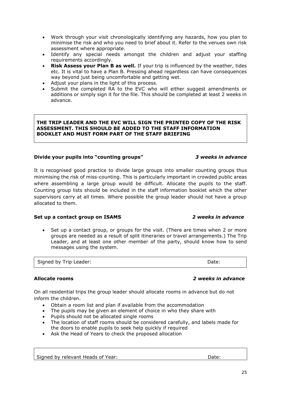- Work through your visit chronologically identifying any hazards, how you plan to minimise the risk and who you need to brief about it. Refer to the venues own risk assessment where appropriate.
- Identify any special needs amongst the children and adjust your staffing requirements accordingly.
- **Risk Assess your Plan B as well.** If your trip is influenced by the weather, tides etc. It is vital to have a Plan B. Pressing ahead regardless can have consequences way beyond just being uncomfortable and getting wet.
- Adjust your plans in the light of this process.
- Submit the completed RA to the EVC who will either suggest amendments or additions or simply sign it for the file. This should be completed at least 2 weeks in advance.

# **THE TRIP LEADER AND THE EVC WILL SIGN THE PRINTED COPY OF THE RISK ASSESSMENT. THIS SHOULD BE ADDED TO THE STAFF INFORMATION BOOKLET AND MUST FORM PART OF THE STAFF BRIEFING**

# **Divide your pupils into "counting groups"** *3 weeks in advance*

It is recognised good practice to divide large groups into smaller counting groups thus minimising the risk of miss-counting. This is particularly important in crowded public areas where assembling a large group would be difficult. Allocate the pupils to the staff. Counting group lists should be included in the staff information booklet which the other supervisors carry at all times. Where possible the group leader should not have a group allocated to them.

# **Set up a contact group on ISAMS** *2 weeks in advance*

• Set up a contact group, or groups for the visit. (There are times when 2 or more groups are needed as a result of split itineraries or travel arrangements.) The Trip Leader, and at least one other member of the party, should know how to send messages using the system.

Signed by Trip Leader:  $\blacksquare$ 

# **Allocate rooms** *2 weeks in advance*

On all residential trips the group leader should allocate rooms in advance but do not inform the children.

- Obtain a room list and plan if available from the accommodation
- The pupils may be given an element of choice in who they share with
- Pupils should not be allocated single rooms
- The location of staff rooms should be considered carefully, and labels made for the doors to enable pupils to seek help quickly if required
- Ask the Head of Years to check the proposed allocation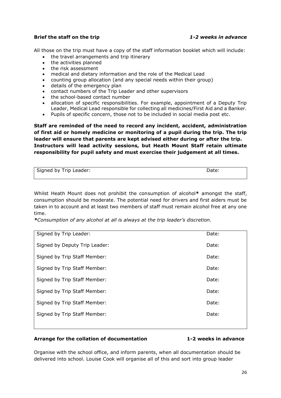# **Brief the staff on the trip** *1-2 weeks in advance*

All those on the trip must have a copy of the staff information booklet which will include:

- the travel arrangements and trip itinerary
- the activities planned
- the risk assessment
- medical and dietary information and the role of the Medical Lead
- counting group allocation (and any special needs within their group)
- details of the emergency plan
- contact numbers of the Trip Leader and other supervisors
- the school-based contact number
- allocation of specific responsibilities. For example, appointment of a Deputy Trip Leader, Medical Lead responsible for collecting all medicines/First Aid and a Banker.
- Pupils of specific concern, those not to be included in social media post etc.

**Staff are reminded of the need to record any incident, accident, administration of first aid or homely medicine or monitoring of a pupil during the trip. The trip leader will ensure that parents are kept advised either during or after the trip. Instructors will lead activity sessions, but Heath Mount Staff retain ultimate responsibility for pupil safety and must exercise their judgement at all times.**

| Signed by Trip Leader: | Date: |
|------------------------|-------|
|                        |       |

Whilst Heath Mount does not prohibit the consumption of alcohol**\*** amongst the staff, consumption should be moderate. The potential need for drivers and first aiders must be taken in to account and at least two members of staff must remain alcohol free at any one time.

*\*Consumption of any alcohol at all is always at the trip leader's discretion.*

| Signed by Trip Leader:        | Date: |
|-------------------------------|-------|
| Signed by Deputy Trip Leader: | Date: |
| Signed by Trip Staff Member:  | Date: |
| Signed by Trip Staff Member:  | Date: |
| Signed by Trip Staff Member:  | Date: |
| Signed by Trip Staff Member:  | Date: |
| Signed by Trip Staff Member:  | Date: |
| Signed by Trip Staff Member:  | Date: |
|                               |       |

### **Arrange for the collation of documentation 1-2 weeks in advance**

Organise with the school office, and inform parents, when all documentation should be delivered into school. Louise Cook will organise all of this and sort into group leader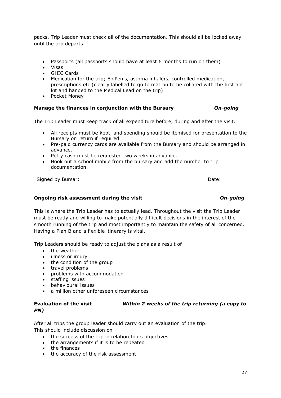packs. Trip Leader must check all of the documentation. This should all be locked away until the trip departs.

- Passports (all passports should have at least 6 months to run on them)
- Visas
- **GHIC Cards**
- Medication for the trip; EpiPen's, asthma inhalers, controlled medication, prescriptions etc (clearly labelled to go to matron to be collated with the first aid kit and handed to the Medical Lead on the trip)
- Pocket Money

# **Manage the finances in conjunction with the Bursary** *On-going*

The Trip Leader must keep track of all expenditure before, during and after the visit.

- All receipts must be kept, and spending should be itemised for presentation to the Bursary on return if required.
- Pre-paid currency cards are available from the Bursary and should be arranged in advance.
- Petty cash must be requested two weeks in advance.
- Book out a school mobile from the bursary and add the number to trip documentation.

Signed by Bursar: Date: Date:

## **Ongoing risk assessment during the visit** *On-going*

This is where the Trip Leader has to actually lead. Throughout the visit the Trip Leader must be ready and willing to make potentially difficult decisions in the interest of the smooth running of the trip and most importantly to maintain the safety of all concerned. Having a Plan B and a flexible itinerary is vital.

Trip Leaders should be ready to adjust the plans as a result of

- the weather
- illness or injury
- the condition of the group
- travel problems
- problems with accommodation
- staffing issues
- behavioural issues
- a million other unforeseen circumstances

# **Evaluation of the visit** *Within 2 weeks of the trip returning (a copy to PN)*

After all trips the group leader should carry out an evaluation of the trip. This should include discussion on

- the success of the trip in relation to its objectives
- the arrangements if it is to be repeated
- the finances
- the accuracy of the risk assessment